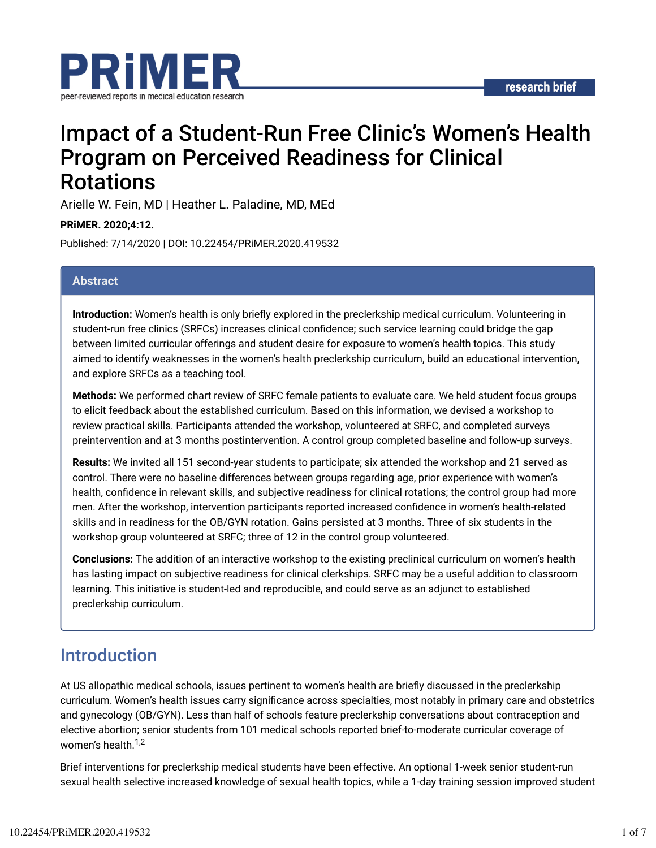

# Impact of a Student-Run Free Clinic's Women's Health Program on Perceived Readiness for Clinical **Rotations**

Arielle W. Fein, MD | Heather L. Paladine, MD, MEd

**PRiMER. 2020;4:12.**

Published: 7/14/2020 | DOI: 10.22454/PRiMER.2020.419532

#### **Abstract**

**Introduction:** Women's health is only briefly explored in the preclerkship medical curriculum. Volunteering in student-run free clinics (SRFCs) increases clinical confidence; such service learning could bridge the gap between limited curricular offerings and student desire for exposure to women's health topics. This study aimed to identify weaknesses in the women's health preclerkship curriculum, build an educational intervention, and explore SRFCs as a teaching tool.

**Methods:** We performed chart review of SRFC female patients to evaluate care. We held student focus groups to elicit feedback about the established curriculum. Based on this information, we devised a workshop to review practical skills. Participants attended the workshop, volunteered at SRFC, and completed surveys preintervention and at 3 months postintervention. A control group completed baseline and follow-up surveys.

**Results:** We invited all 151 second-year students to participate; six attended the workshop and 21 served as control. There were no baseline differences between groups regarding age, prior experience with women's health, confidence in relevant skills, and subjective readiness for clinical rotations; the control group had more men. After the workshop, intervention participants reported increased confidence in women's health-related skills and in readiness for the OB/GYN rotation. Gains persisted at 3 months. Three of six students in the workshop group volunteered at SRFC; three of 12 in the control group volunteered.

**Conclusions:** The addition of an interactive workshop to the existing preclinical curriculum on women's health has lasting impact on subjective readiness for clinical clerkships. SRFC may be a useful addition to classroom learning. This initiative is student-led and reproducible, and could serve as an adjunct to established preclerkship curriculum.

### Introduction

At US allopathic medical schools, issues pertinent to women's health are briefly discussed in the preclerkship curriculum. Women's health issues carry significance across specialties, most notably in primary care and obstetrics and gynecology (OB/GYN). Less than half of schools feature preclerkship conversations about contraception and elective abortion; senior students from 101 medical schools reported brief-to-moderate curricular coverage of women's health. 1,2

Brief interventions for preclerkship medical students have been effective. An optional 1-week senior student-run sexual health selective increased knowledge of sexual health topics, while a 1-day training session improved student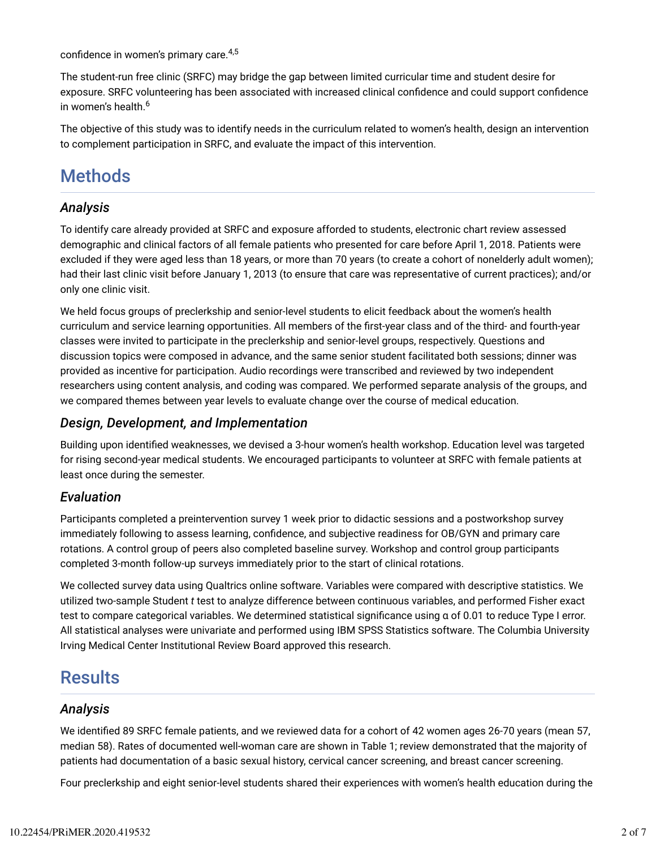confidence in women's primary care.<sup>4,5</sup>

The student-run free clinic (SRFC) may bridge the gap between limited curricular time and student desire for exposure. SRFC volunteering has been associated with increased clinical confidence and could support confidence in women's health. 6

The objective of this study was to identify needs in the curriculum related to women's health, design an intervention to complement participation in SRFC, and evaluate the impact of this intervention.

## **Methods**

#### *Analysis*

To identify care already provided at SRFC and exposure afforded to students, electronic chart review assessed demographic and clinical factors of all female patients who presented for care before April 1, 2018. Patients were excluded if they were aged less than 18 years, or more than 70 years (to create a cohort of nonelderly adult women); had their last clinic visit before January 1, 2013 (to ensure that care was representative of current practices); and/or only one clinic visit.

We held focus groups of preclerkship and senior-level students to elicit feedback about the women's health curriculum and service learning opportunities. All members of the first-year class and of the third- and fourth-year classes were invited to participate in the preclerkship and senior-level groups, respectively. Questions and discussion topics were composed in advance, and the same senior student facilitated both sessions; dinner was provided as incentive for participation. Audio recordings were transcribed and reviewed by two independent researchers using content analysis, and coding was compared. We performed separate analysis of the groups, and we compared themes between year levels to evaluate change over the course of medical education.

#### *Design, Development, and Implementation*

Building upon identified weaknesses, we devised a 3-hour women's health workshop. Education level was targeted for rising second-year medical students. We encouraged participants to volunteer at SRFC with female patients at least once during the semester.

#### *Evaluation*

Participants completed a preintervention survey 1 week prior to didactic sessions and a postworkshop survey immediately following to assess learning, confidence, and subjective readiness for OB/GYN and primary care rotations. A control group of peers also completed baseline survey. Workshop and control group participants completed 3-month follow-up surveys immediately prior to the start of clinical rotations.

We collected survey data using Qualtrics online software. Variables were compared with descriptive statistics. We utilized two-sample Student *t* test to analyze difference between continuous variables, and performed Fisher exact test to compare categorical variables. We determined statistical significance using α of 0.01 to reduce Type I error. All statistical analyses were univariate and performed using IBM SPSS Statistics software. The Columbia University Irving Medical Center Institutional Review Board approved this research.

### **Results**

#### *Analysis*

We identified 89 SRFC female patients, and we reviewed data for a cohort of 42 women ages 26-70 years (mean 57, median 58). Rates of documented well-woman care are shown in Table 1; review demonstrated that the majority of patients had documentation of a basic sexual history, cervical cancer screening, and breast cancer screening.

Four preclerkship and eight senior-level students shared their experiences with women's health education during the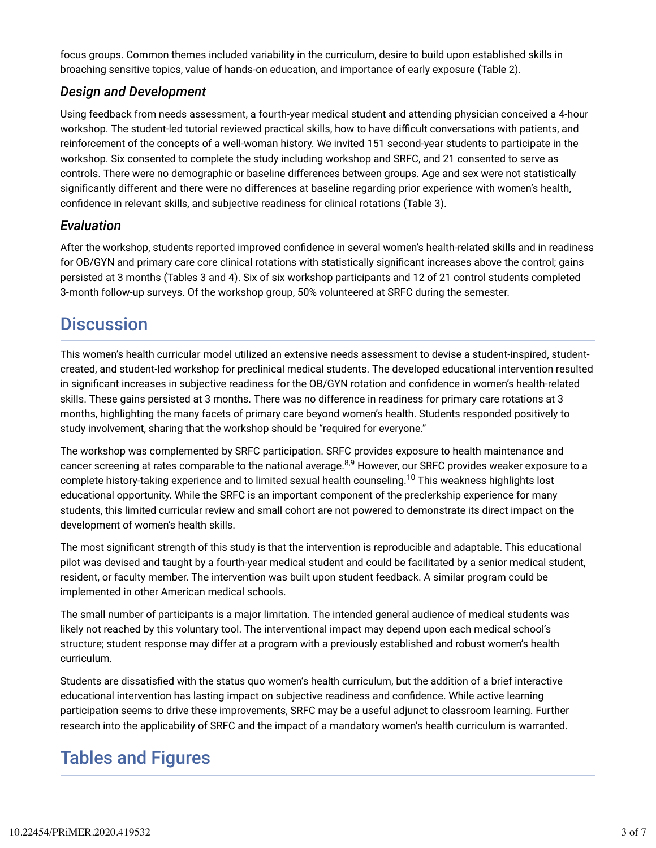focus groups. Common themes included variability in the curriculum, desire to build upon established skills in broaching sensitive topics, value of hands-on education, and importance of early exposure (Table 2).

#### *Design and Development*

Using feedback from needs assessment, a fourth-year medical student and attending physician conceived a 4-hour workshop. The student-led tutorial reviewed practical skills, how to have difficult conversations with patients, and reinforcement of the concepts of a well-woman history. We invited 151 second-year students to participate in the workshop. Six consented to complete the study including workshop and SRFC, and 21 consented to serve as controls. There were no demographic or baseline differences between groups. Age and sex were not statistically significantly different and there were no differences at baseline regarding prior experience with women's health, confidence in relevant skills, and subjective readiness for clinical rotations (Table 3).

#### *Evaluation*

After the workshop, students reported improved confidence in several women's health-related skills and in readiness for OB/GYN and primary care core clinical rotations with statistically significant increases above the control; gains persisted at 3 months (Tables 3 and 4). Six of six workshop participants and 12 of 21 control students completed 3-month follow-up surveys. Of the workshop group, 50% volunteered at SRFC during the semester.

### **Discussion**

This women's health curricular model utilized an extensive needs assessment to devise a student-inspired, studentcreated, and student-led workshop for preclinical medical students. The developed educational intervention resulted in significant increases in subjective readiness for the OB/GYN rotation and confidence in women's health-related skills. These gains persisted at 3 months. There was no difference in readiness for primary care rotations at 3 months, highlighting the many facets of primary care beyond women's health. Students responded positively to study involvement, sharing that the workshop should be "required for everyone."

The workshop was complemented by SRFC participation. SRFC provides exposure to health maintenance and cancer screening at rates comparable to the national average.<sup>8,9</sup> However, our SRFC provides weaker exposure to a complete history-taking experience and to limited sexual health counseling.<sup>10</sup> This weakness highlights lost educational opportunity. While the SRFC is an important component of the preclerkship experience for many students, this limited curricular review and small cohort are not powered to demonstrate its direct impact on the development of women's health skills.

The most significant strength of this study is that the intervention is reproducible and adaptable. This educational pilot was devised and taught by a fourth-year medical student and could be facilitated by a senior medical student, resident, or faculty member. The intervention was built upon student feedback. A similar program could be implemented in other American medical schools.

The small number of participants is a major limitation. The intended general audience of medical students was likely not reached by this voluntary tool. The interventional impact may depend upon each medical school's structure; student response may differ at a program with a previously established and robust women's health curriculum.

Students are dissatisfied with the status quo women's health curriculum, but the addition of a brief interactive educational intervention has lasting impact on subjective readiness and confidence. While active learning participation seems to drive these improvements, SRFC may be a useful adjunct to classroom learning. Further research into the applicability of SRFC and the impact of a mandatory women's health curriculum is warranted.

### Tables and Figures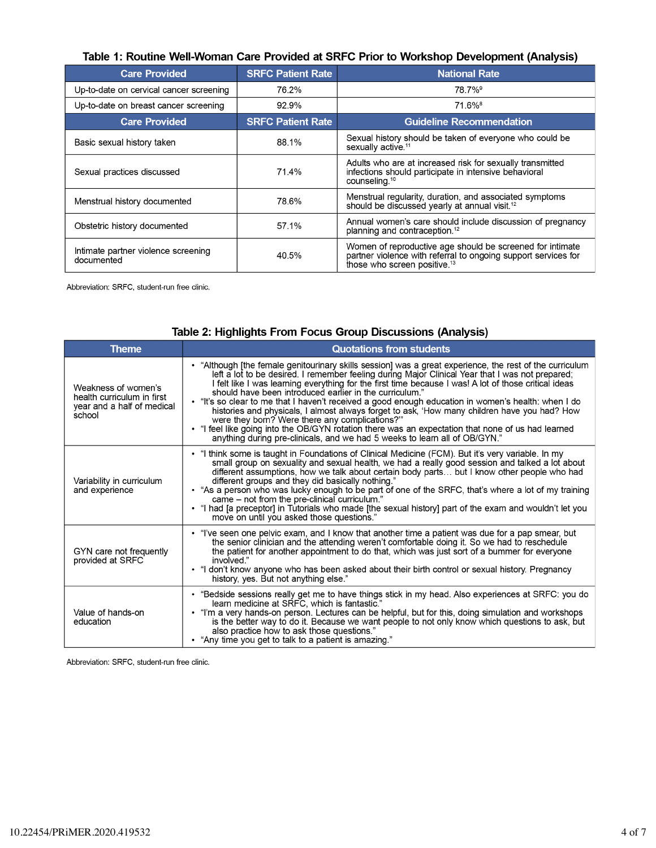| Table 1: Routine Well-Woman Care Provided at SRFC Prior to Workshop Development (Analysis) |  |
|--------------------------------------------------------------------------------------------|--|
|--------------------------------------------------------------------------------------------|--|

| <b>Care Provided</b>                              | <b>SRFC Patient Rate</b> | <b>National Rate</b>                                                                                                                                                    |  |  |
|---------------------------------------------------|--------------------------|-------------------------------------------------------------------------------------------------------------------------------------------------------------------------|--|--|
| Up-to-date on cervical cancer screening           | 76.2%                    | 78.7% <sup>9</sup>                                                                                                                                                      |  |  |
| Up-to-date on breast cancer screening             | 92.9%                    | 71.6% <sup>8</sup>                                                                                                                                                      |  |  |
| <b>Care Provided</b>                              | <b>SRFC Patient Rate</b> | <b>Guideline Recommendation</b>                                                                                                                                         |  |  |
| Basic sexual history taken                        | 88.1%                    | Sexual history should be taken of everyone who could be<br>sexually active. <sup>11</sup>                                                                               |  |  |
| Sexual practices discussed                        | 71.4%                    | Adults who are at increased risk for sexually transmitted<br>infections should participate in intensive behavioral<br>counseling. <sup>10</sup>                         |  |  |
| Menstrual history documented                      | 78.6%                    | Menstrual regularity, duration, and associated symptoms<br>should be discussed yearly at annual visit. <sup>12</sup>                                                    |  |  |
| Obstetric history documented                      | 57.1%                    | Annual women's care should include discussion of pregnancy<br>planning and contraception. <sup>12</sup>                                                                 |  |  |
| Intimate partner violence screening<br>documented | 40.5%                    | Women of reproductive age should be screened for intimate<br>partner violence with referral to ongoing support services for<br>those who screen positive. <sup>13</sup> |  |  |

Abbreviation: SRFC, student-run free clinic.

| <b>Theme</b>                                                                              | <b>Quotations from students</b>                                                                                                                                                                                                                                                                                                                                                                                                                                                                                                                                                                                                                                                                                                                                                                                               |
|-------------------------------------------------------------------------------------------|-------------------------------------------------------------------------------------------------------------------------------------------------------------------------------------------------------------------------------------------------------------------------------------------------------------------------------------------------------------------------------------------------------------------------------------------------------------------------------------------------------------------------------------------------------------------------------------------------------------------------------------------------------------------------------------------------------------------------------------------------------------------------------------------------------------------------------|
| Weakness of women's<br>health curriculum in first<br>year and a half of medical<br>school | • "Although [the female genitourinary skills session] was a great experience, the rest of the curriculum<br>left a lot to be desired. I remember feeling during Major Clinical Year that I was not prepared;<br>I felt like I was learning everything for the first time because I was! A lot of those critical ideas<br>should have been introduced earlier in the curriculum."<br>. "It's so clear to me that I haven't received a good enough education in women's health: when I do<br>histories and physicals, I almost always forget to ask, 'How many children have you had? How<br>were they born? Were there any complications?"<br>. "I feel like going into the OB/GYN rotation there was an expectation that none of us had learned<br>anything during pre-clinicals, and we had 5 weeks to learn all of OB/GYN." |
| Variability in curriculum<br>and experience                                               | . "I think some is taught in Foundations of Clinical Medicine (FCM). But it's very variable. In my<br>small group on sexuality and sexual health, we had a really good session and talked a lot about<br>different assumptions, how we talk about certain body parts but I know other people who had<br>different groups and they did basically nothing."<br>. "As a person who was lucky enough to be part of one of the SRFC, that's where a lot of my training<br>came – not from the pre-clinical curriculum."<br>. "I had [a preceptor] in Tutorials who made [the sexual history] part of the exam and wouldn't let you<br>move on until you asked those questions."                                                                                                                                                    |
| GYN care not frequently<br>provided at SRFC                                               | • "I've seen one pelvic exam, and I know that another time a patient was due for a pap smear, but<br>the senior clinician and the attending weren't comfortable doing it. So we had to reschedule<br>the patient for another appointment to do that, which was just sort of a bummer for everyone<br>involved."<br>. "I don't know anyone who has been asked about their birth control or sexual history. Pregnancy<br>history, yes. But not anything else."                                                                                                                                                                                                                                                                                                                                                                  |
| Value of hands-on<br>education                                                            | • "Bedside sessions really get me to have things stick in my head. Also experiences at SRFC: you do<br>learn medicine at SRFC, which is fantastic."<br>. "I'm a very hands-on person. Lectures can be helpful, but for this, doing simulation and workshops<br>is the better way to do it. Because we want people to not only know which questions to ask, but<br>also practice how to ask those questions."<br>• "Any time you get to talk to a patient is amazing."                                                                                                                                                                                                                                                                                                                                                         |

Abbreviation: SRFC, student-run free clinic.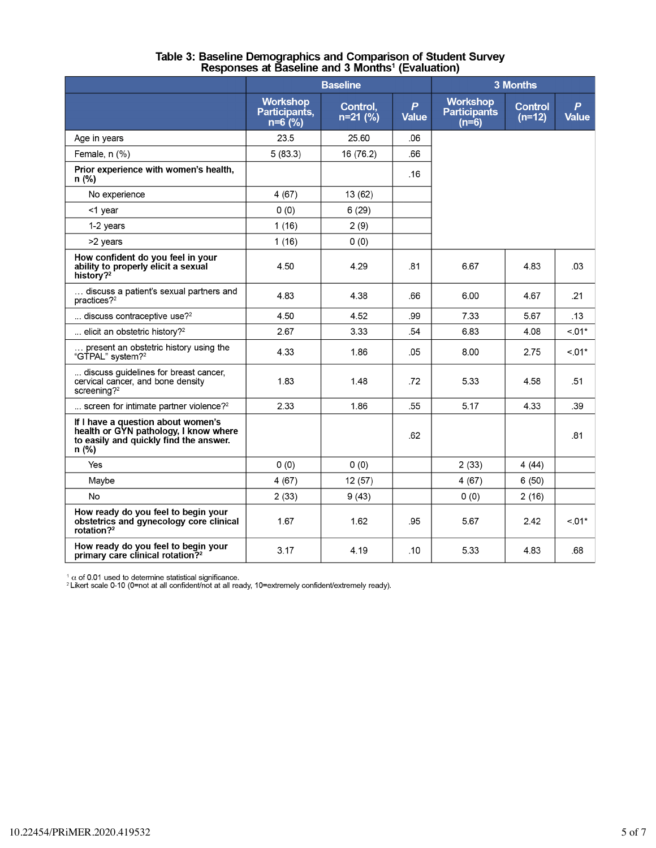|                                                                                                                                | <b>Baseline</b>                               |                        | 3 Months                         |                                                   |                            |                                  |
|--------------------------------------------------------------------------------------------------------------------------------|-----------------------------------------------|------------------------|----------------------------------|---------------------------------------------------|----------------------------|----------------------------------|
|                                                                                                                                | <b>Workshop</b><br>Participants,<br>$n=6$ (%) | Control,<br>$n=21$ (%) | $\boldsymbol{P}$<br><b>Value</b> | <b>Workshop</b><br><b>Participants</b><br>$(n=6)$ | <b>Control</b><br>$(n=12)$ | $\boldsymbol{P}$<br><b>Value</b> |
| Age in years                                                                                                                   | 23.5                                          | 25.60                  | .06                              |                                                   |                            |                                  |
| Female, $n$ $(\%)$                                                                                                             | 5(83.3)                                       | 16 (76.2)              | .66                              |                                                   |                            |                                  |
| Prior experience with women's health,<br>n (%)                                                                                 |                                               |                        | .16                              |                                                   |                            |                                  |
| No experience                                                                                                                  | 4(67)                                         | 13 (62)                |                                  |                                                   |                            |                                  |
| <1 year                                                                                                                        | 0(0)                                          | 6(29)                  |                                  |                                                   |                            |                                  |
| 1-2 years                                                                                                                      | 1(16)                                         | 2(9)                   |                                  |                                                   |                            |                                  |
| >2 years                                                                                                                       | 1(16)                                         | 0(0)                   |                                  |                                                   |                            |                                  |
| How confident do you feel in your<br>ability to properly elicit a sexual<br>history? <sup>2</sup>                              | 4.50                                          | 4.29                   | .81                              | 6.67                                              | 4.83                       | .03                              |
| discuss a patient's sexual partners and<br>practices? $2^2$                                                                    | 4.83                                          | 4.38                   | .66                              | 6.00                                              | 4.67                       | .21                              |
| discuss contraceptive use? <sup>2</sup>                                                                                        | 4.50                                          | 4.52                   | .99                              | 7.33                                              | 5.67                       | .13                              |
| elicit an obstetric history? <sup>2</sup>                                                                                      | 2.67                                          | 3.33                   | .54                              | 6.83                                              | 4.08                       | $< 01*$                          |
| present an obstetric history using the<br>"GTPAL" system? <sup>2</sup>                                                         | 4.33                                          | 1.86                   | .05                              | 8.00                                              | 2.75                       | $< 01*$                          |
| discuss quidelines for breast cancer.<br>cervical cancer, and bone density<br>screening? $2^2$                                 | 1.83                                          | 1.48                   | .72                              | 5.33                                              | 4.58                       | .51                              |
| screen for intimate partner violence? <sup>2</sup>                                                                             | 2.33                                          | 1.86                   | .55                              | 5.17                                              | 4.33                       | .39                              |
| If I have a question about women's<br>health or GYN pathology, I know where<br>to easily and quickly find the answer.<br>n (%) |                                               |                        | .62                              |                                                   |                            | .81                              |
| <b>Yes</b>                                                                                                                     | 0(0)                                          | 0(0)                   |                                  | 2(33)                                             | 4(44)                      |                                  |
| Maybe                                                                                                                          | 4(67)                                         | 12(57)                 |                                  | 4(67)                                             | 6(50)                      |                                  |
| <b>No</b>                                                                                                                      | 2(33)                                         | 9(43)                  |                                  | 0(0)                                              | 2(16)                      |                                  |
| How ready do you feel to begin your<br>obstetrics and gynecology core clinical<br>rotation? $2^2$                              | 1.67                                          | 1.62                   | .95                              | 5.67                                              | 2.42                       | $< 01*$                          |
| How ready do you feel to begin your<br>primary care clinical rotation? <sup>2</sup>                                            | 3.17                                          | 4.19                   | .10                              | 5.33                                              | 4.83                       | .68                              |

# Table 3: Baseline Demographics and Comparison of Student Survey<br>Responses at Baseline and 3 Months<sup>1</sup> (Evaluation)

<sup>1</sup> α of 0.01 used to determine statistical significance.<br><sup>2</sup> Likert scale 0-10 (0=not at all confident/not at all ready, 10=extremely confident/extremely ready).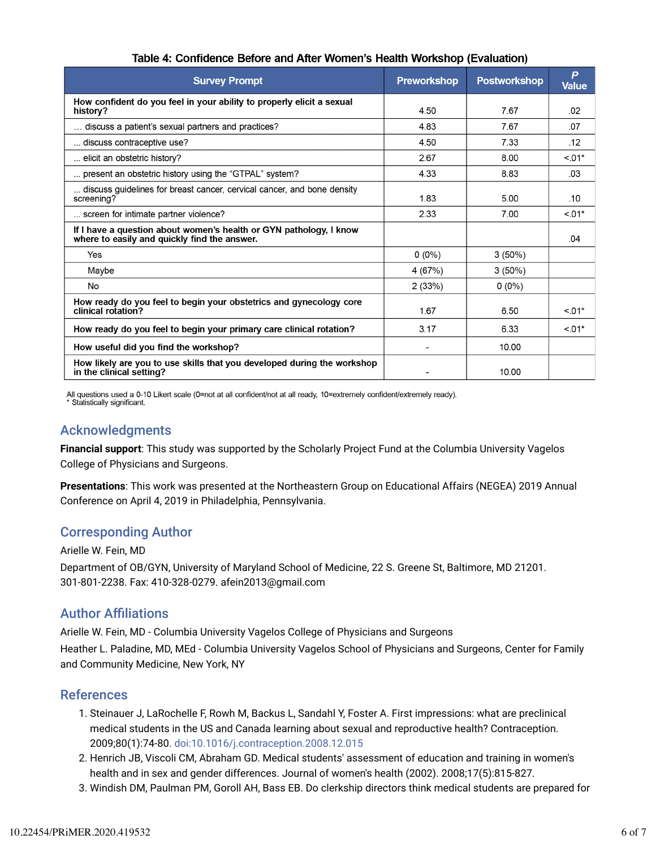| <b>Survey Prompt</b>                                                                                               | <b>Preworkshop</b> | <b>Postworkshop</b> | P<br><b>Value</b> |
|--------------------------------------------------------------------------------------------------------------------|--------------------|---------------------|-------------------|
| How confident do you feel in your ability to properly elicit a sexual<br>history?                                  | 4.50               | 767                 | .02               |
| discuss a patient's sexual partners and practices?                                                                 | 4.83               | 7.67                | .07               |
| discuss contraceptive use?                                                                                         | 4.50               | 7.33                | .12               |
| elicit an obstetric history?                                                                                       | 2.67               | 8.00                | $< 01*$           |
| present an obstetric history using the "GTPAL" system?                                                             | 4.33               | 8.83                | .03               |
| discuss guidelines for breast cancer, cervical cancer, and bone density<br>screening?                              | 1.83               | 5.00                | .10               |
| screen for intimate partner violence?                                                                              | 2.33               | 7.00                | $< 01*$           |
| If I have a question about women's health or GYN pathology, I know<br>where to easily and quickly find the answer. |                    |                     | .04               |
| Yes                                                                                                                | $0(0\%)$           | $3(50\%)$           |                   |
| Maybe                                                                                                              | 4(67%)             | $3(50\%)$           |                   |
| No                                                                                                                 | 2(33%)             | $0(0\%)$            |                   |
| How ready do you feel to begin your obstetrics and gynecology core<br>clinical rotation?                           | 1.67               | 6.50                | $< 01*$           |
| How ready do you feel to begin your primary care clinical rotation?                                                | 3.17               | 6.33                | $< 01*$           |
| How useful did you find the workshop?                                                                              |                    | 10.00               |                   |
| How likely are you to use skills that you developed during the workshop<br>in the clinical setting?                |                    | 10.00               |                   |

#### Table 4: Confidence Before and After Women's Health Workshop (Evaluation)

All questions used a 0-10 Likert scale (0=not at all confident/not at all ready, 10=extremely confident/extremely ready).<br>\* Statistically significant.

#### Acknowledgments

**Financial support**: This study was supported by the Scholarly Project Fund at the Columbia University Vagelos College of Physicians and Surgeons.

**Presentations**: This work was presented at the Northeastern Group on Educational Affairs (NEGEA) 2019 Annual Conference on April 4, 2019 in Philadelphia, Pennsylvania.

#### Corresponding Author

#### Arielle W. Fein, MD

Department of OB/GYN, University of Maryland School of Medicine, 22 S. Greene St, Baltimore, MD 21201. 301-801-2238. Fax: 410-328-0279. afein2013@gmail.com

#### **Author Affiliations**

Arielle W. Fein, MD - Columbia University Vagelos College of Physicians and Surgeons

Heather L. Paladine, MD, MEd - Columbia University Vagelos School of Physicians and Surgeons, Center for Family and Community Medicine, New York, NY

#### References

- 1. Steinauer J, LaRochelle F, Rowh M, Backus L, Sandahl Y, Foster A. First impressions: what are preclinical medical students in the US and Canada learning about sexual and reproductive health? Contraception. 2009;80(1):74-80. doi:10.1016/j.contraception.2008.12.015
- 2. Henrich JB, Viscoli CM, Abraham GD. Medical students' assessment of education and training in women's health and in sex and gender differences. Journal of women's health (2002). 2008;17(5):815-827.
- 3. Windish DM, Paulman PM, Goroll AH, Bass EB. Do clerkship directors think medical students are prepared for